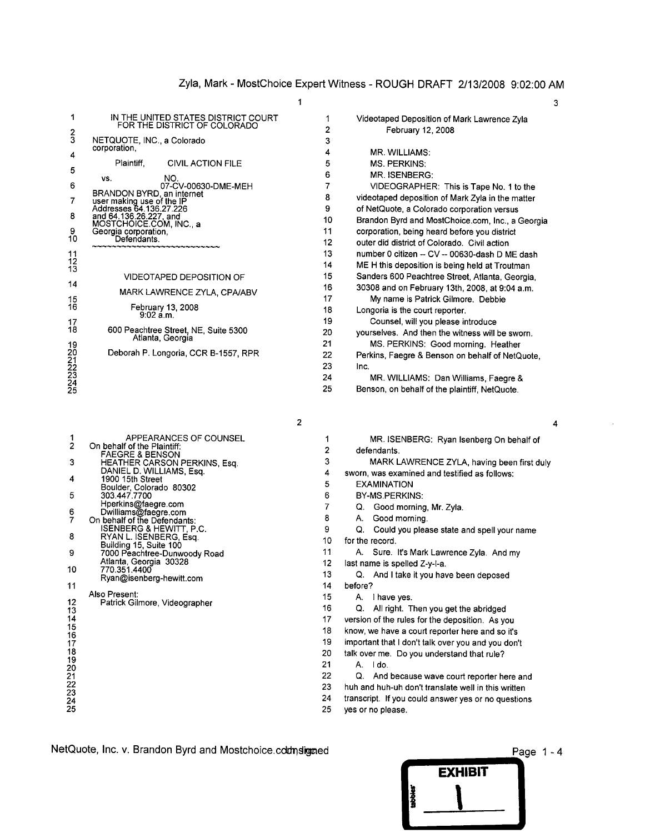| 1                                | IN THE UNITED STATES DISTRICT COURT<br>FOR THE DISTRICT OF COLORADO | 1  | Videotaped Deposition of Mark Lawrence Zyla      |
|----------------------------------|---------------------------------------------------------------------|----|--------------------------------------------------|
|                                  |                                                                     | 2  | February 12, 2008                                |
| $\frac{2}{3}$                    | NETQUOTE, INC., a Colorado                                          | 3  |                                                  |
| 4                                | corporation,                                                        | 4  | MR. WILLIAMS:                                    |
|                                  | Plaintiff.<br><b>CIVIL ACTION FILE</b>                              | 5  | <b>MS. PERKINS:</b>                              |
| 5                                | NO.<br>VS.                                                          | 6  | MR. ISENBERG:                                    |
| 6                                | 07-CV-00630-DME-MEH                                                 |    | VIDEOGRAPHER: This is Tape No. 1 to the          |
| 7                                | BRANDON BYRD, an internet                                           | 8  | videotaped deposition of Mark Zyla in the matter |
|                                  | user making use of the IP<br>Addresses 64.136.27.226                | 9  | of NetQuote, a Colorado corporation versus       |
| 8                                | and 64.136.26.227, and<br>MOSTCHOICE.COM, INC., a                   | 10 | Brandon Byrd and MostChoice.com, Inc., a Georgia |
| 9                                | Georgia corporation,<br>Defendants.                                 | 11 | corporation, being heard before you district     |
| 10 <sup>°</sup>                  |                                                                     | 12 | outer did district of Colorado. Civil action     |
|                                  |                                                                     | 13 | number 0 citizen -- CV -- 00630-dash D ME dash   |
| $\frac{11}{12}$                  |                                                                     | 14 | ME H this deposition is being held at Troutman   |
|                                  | <b>VIDEOTAPED DEPOSITION OF</b>                                     | 15 | Sanders 600 Peachtree Street, Atlanta, Georgia,  |
| 14                               | MARK LAWRENCE ZYLA, CPA/ABV                                         | 16 | 30308 and on February 13th, 2008, at 9:04 a.m.   |
| 15                               |                                                                     | 17 | My name is Patrick Gilmore. Debbie               |
| 16                               | February 13, 2008<br>9:02 a.m.                                      | 18 | Longoria is the court reporter.                  |
| 17                               |                                                                     | 19 | Counsel, will you please introduce               |
| 18                               | 600 Peachtree Street, NE, Suite 5300<br>Atlanta, Georgia            | 20 | yourselves. And then the witness will be sworn.  |
|                                  |                                                                     | 21 | MS. PERKINS: Good morning. Heather               |
|                                  | Deborah P. Longoria, CCR B-1557, RPR                                | 22 | Perkins, Faegre & Benson on behalf of NetQuote,  |
|                                  |                                                                     | 23 | Inc.                                             |
| 19<br>20<br>22<br>23<br>24<br>25 |                                                                     | 24 | MR. WILLIAMS: Dan Williams, Faegre &             |
|                                  |                                                                     | 25 | Benson, on behalf of the plaintiff, NetQuote.    |

| 1<br>$\overline{2}$  | APPEARANCES OF COUNSEL                                    |    | MR. ISENBERG: Ryan Isenberg Or                |
|----------------------|-----------------------------------------------------------|----|-----------------------------------------------|
|                      | On behalf of the Plaintiff:<br><b>FAEGRE &amp; BENSON</b> | 2  | defendants.                                   |
| 3                    | HEATHER CARSON PERKINS, Esq.                              | 3  | MARK LAWRENCE ZYLA, having b                  |
|                      | DANIEL D. WILLIAMS, Esq.                                  | 4  | sworn, was examined and testified as follo    |
| 4                    | 1900 15th Street                                          | 5  | <b>EXAMINATION</b>                            |
| 5                    | Boulder, Colorado 80302<br>303.447.7700                   | 6  | BY-MS.PERKINS:                                |
|                      | Hperkins@faegre.com                                       |    |                                               |
|                      | Dwilliams@faegre.com                                      | 7  | Good morning, Mr. Zyla.<br>Q.                 |
| $\frac{6}{7}$        | On behalf of the Defendants:                              | 8  | Good morning.<br>А.                           |
|                      | ISENBERG & HEWITT, P.C.                                   | 9  | Q. Could you please state and spell yo        |
| 8                    | RYAN L. ISENBERG, Esq.                                    | 10 | for the record.                               |
| 9                    | Building 15, Suite 100                                    | 11 | A. Sure. It's Mark Lawrence Zyla. An          |
|                      | 7000 Peachtree-Dunwoody Road<br>Atlanta, Georgia 30328    | 12 |                                               |
| 10                   | 770.351.4400                                              |    | last name is spelled Z-y-I-a.                 |
|                      | Ryan@isenberg-hewitt.com                                  | 13 | Q. And I take it you have been depose         |
| 11                   |                                                           | 14 | before?                                       |
|                      | Also Present:                                             | 15 | A. I have yes.                                |
| 12<br>13             | Patrick Gilmore, Videographer                             | 16 | Q. All right. Then you get the abridge        |
| 14                   |                                                           | 17 | version of the rules for the deposition. As y |
|                      |                                                           | 18 |                                               |
| $\frac{15}{16}$      |                                                           |    | know, we have a court reporter here and so    |
| 17<br>18             |                                                           | 19 | important that I don't talk over you and you  |
|                      |                                                           | 20 | talk over me. Do you understand that rule?    |
| 19                   |                                                           | 21 | A. Ido.                                       |
|                      |                                                           | 22 | And because wave court reporter h<br>Q.       |
| 20<br>21<br>22<br>23 |                                                           | 23 | huh and huh-uh don't translate well in this   |
|                      |                                                           | 24 |                                               |
|                      |                                                           |    | transcript. If you could answer yes or no gu  |

| 1                            | IN THE UNITED STATES DISTRICT COURT<br>FOR THE DISTRICT OF COLORADO | 2  | Videotaped Deposition of Mark Lawrence Zyla<br>February 12, 2008 |
|------------------------------|---------------------------------------------------------------------|----|------------------------------------------------------------------|
| $\frac{2}{3}$                | NETQUOTE, INC., a Colorado                                          | 3  |                                                                  |
| 4                            | corporation.                                                        | 4  | MR. WILLIAMS:                                                    |
|                              | Plaintiff,<br><b>CIVIL ACTION FILE</b>                              | 5  | MS. PERKINS:                                                     |
| 5                            | NO.<br>VS.                                                          | 6  | MR. ISENBERG:                                                    |
| 6                            | 07-CV-00630-DME-MEH                                                 | 7  | VIDEOGRAPHER: This is Tape No. 1 to the                          |
| $\overline{7}$               | BRANDON BYRD, an internet                                           | 8  | videotaped deposition of Mark Zyla in the matter                 |
|                              | user making use of the IP<br>Addresses 64.136.27.226                | 9  | of NetQuote, a Colorado corporation versus                       |
| 8                            | and 64.136.26.227, and<br>MOSTCHOICE.COM, INC., a                   | 10 | Brandon Byrd and MostChoice.com, Inc., a Georgia                 |
| 9                            | Georgia corporation,<br>Defendants.                                 | 11 | corporation, being heard before you district                     |
| 10                           |                                                                     | 12 | outer did district of Colorado. Civil action                     |
| 11                           |                                                                     | 13 | number 0 citizen -- CV -- 00630-dash D ME dash                   |
| 12<br>13                     |                                                                     | 14 | ME H this deposition is being held at Troutman                   |
|                              | VIDEOTAPED DEPOSITION OF                                            | 15 | Sanders 600 Peachtree Street, Atlanta, Georgia,                  |
| 14                           | MARK LAWRENCE ZYLA, CPA/ABV                                         | 16 | 30308 and on February 13th, 2008, at 9:04 a.m.                   |
| 15                           |                                                                     | 17 | My name is Patrick Gilmore. Debbie                               |
| 16                           | February 13, 2008<br>$9:02 \text{ a.m.}$                            | 18 | Longoria is the court reporter.                                  |
| 17                           |                                                                     | 19 | Counsel, will you please introduce                               |
| 18                           | 600 Peachtree Street, NE, Suite 5300<br>Atlanta, Georgia            | 20 | yourselves. And then the witness will be sworn.                  |
| 19                           |                                                                     | 21 | MS. PERKINS: Good morning. Heather                               |
|                              | Deborah P. Longoria, CCR B-1557, RPR                                | 22 | Perkins, Faegre & Benson on behalf of NetQuote,                  |
|                              |                                                                     | 23 | Inc.                                                             |
| 20<br>21<br>223<br>24<br>245 |                                                                     | 24 | MR. WILLIAMS: Dan Williams, Faegre &                             |
|                              |                                                                     | 25 | Benson, on behalf of the plaintiff, NetQuote.                    |

| ٦ | I |
|---|---|

|                 |                                                           | 2               |                                                           |
|-----------------|-----------------------------------------------------------|-----------------|-----------------------------------------------------------|
| 1               | APPEARANCES OF COUNSEL                                    | 1               | MR. ISENBERG: Ryan Isenberg On behalf of                  |
| $\overline{2}$  | On behalf of the Plaintiff:<br><b>FAEGRE &amp; BENSON</b> | 2               | defendants.                                               |
| 3               | HEATHER CARSON PERKINS, Esq.                              | 3               | MARK LAWRENCE ZYLA, having been first duly                |
|                 | DANIEL D. WILLIAMS, Esq.<br>1900 15th Street              | 4               | sworn, was examined and testified as follows:             |
| 4               | Boulder, Colorado 80302                                   | 5               | <b>EXAMINATION</b>                                        |
| 5               | 303.447.7700                                              | 6               | BY-MS.PERKINS:                                            |
|                 | Hperkins@faegre.com                                       | 7               | Good morning, Mr. Zyla.<br>Q.                             |
| $\frac{6}{7}$   | Dwilliams@faegre.com<br>On behalf of the Defendants:      | 8               | Good morning.<br>А.                                       |
|                 | ISENBERG & HEWITT, P.C.                                   | 9               | Could you please state and spell your name<br>Q.          |
| 8               | RYAN L. ISENBERG, Esq.                                    | 10              | for the record.                                           |
| 9               | Building 15, Suite 100<br>7000 Peachtree-Dunwoody Road    | 11              | A. Sure. It's Mark Lawrence Zyla. And my                  |
|                 | Atlanta, Georgia 30328                                    | 12              | last name is spelled Z-y-l-a.                             |
| 10              | 770.351.4400                                              | 13              | Q. And I take it you have been deposed                    |
| 11              | Ryan@isenberg-hewitt.com                                  | 14              | before?                                                   |
|                 | Also Present:                                             | 15 <sub>1</sub> | A. I have yes.                                            |
| 12              | Patrick Gilmore, Videographer                             | 16              | Q.<br>All right. Then you get the abridged                |
| 13<br>14        |                                                           | 17              | version of the rules for the deposition. As you           |
| 15              |                                                           | 18              | know, we have a court reporter here and so it's           |
| 16              |                                                           | 19              | important that I don't talk over you and you don't        |
| 17<br>18        |                                                           | 20              |                                                           |
| 19              |                                                           | 21              | talk over me. Do you understand that rule?<br>А.<br>I do. |
| 20              |                                                           | 22              |                                                           |
| $\overline{21}$ |                                                           |                 | Q.<br>And because wave court reporter here and            |
| $\frac{22}{23}$ |                                                           | 23              | huh and huh-uh don't translate well in this written       |
| $\frac{24}{25}$ |                                                           | 24              | transcript. If you could answer yes or no questions       |
|                 |                                                           | 25              | yes or no please.                                         |

NetQuote, Inc. v. Brandon Byrd and Mostcholce.ccdnaoaed \_\_\_ ~~!IIIIIIIIiP,age 1 - 4

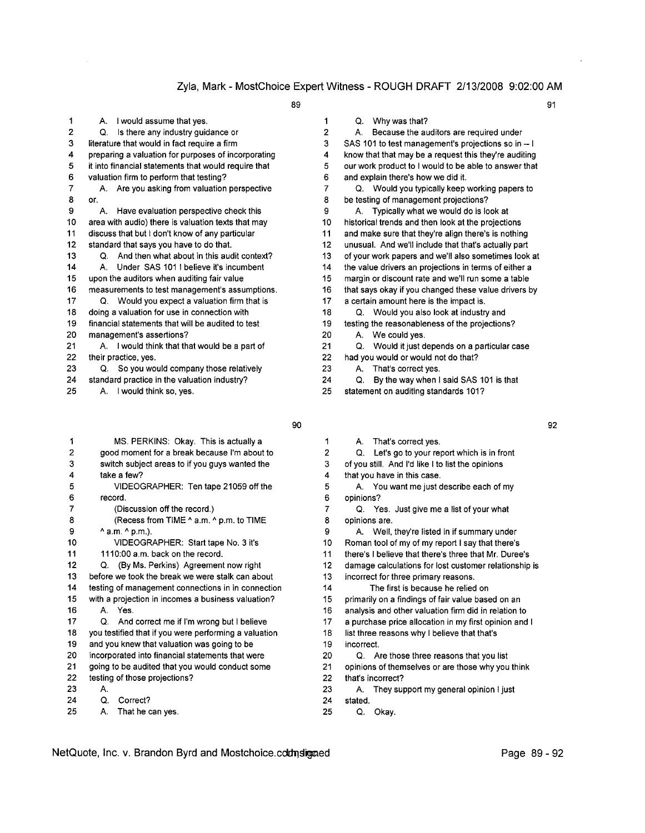| 1  | I would assume that yes.<br>А.                       | 1                    |
|----|------------------------------------------------------|----------------------|
| 2  | Is there any industry guidance or<br>Q.              | $\overline{a}$       |
| 3  | literature that would in fact require a firm         | 3                    |
| 4  | preparing a valuation for purposes of incorporating  | 4                    |
| 5  | it into financial statements that would require that | 5                    |
| 6  | valuation firm to perform that testing?              | 6                    |
| 7  | A. Are you asking from valuation perspective         | 7                    |
| 8  | or.                                                  | 8                    |
| 9  | Have evaluation perspective check this<br>А.         | 9                    |
| 10 | area with audio) there is valuation texts that may   | 1(                   |
| 11 | discuss that but I don't know of any particular      | $\mathbf{1}$         |
| 12 | standard that says you have to do that.              | 1:                   |
| 13 | And then what about in this audit context?<br>O.     | 1;                   |
| 14 | Under SAS 101 I believe it's incumbent<br>A.         | $1\cdot$             |
| 15 | upon the auditors when auditing fair value           | 1                    |
| 16 | measurements to test management's assumptions.       | 1                    |
| 17 | Q. Would you expect a valuation firm that is         | $\ddot{\phantom{a}}$ |
| 18 | doing a valuation for use in connection with         | 1                    |
| 19 | financial statements that will be audited to test    | 1                    |
| 20 | management's assertions?                             | $\overline{2}$       |
| 21 | A. I would think that that would be a part of        | $2^{\circ}$          |
| 22 | their practice, yes.                                 | 2:                   |
| 23 | So you would company those relatively<br>Q.          | 2                    |
| 24 | standard practice in the valuation industry?         | 2                    |

| 1              | MS. PERKINS: Okay. This is actually a                 |                | That's co<br>А.    |
|----------------|-------------------------------------------------------|----------------|--------------------|
| $\overline{2}$ | good moment for a break because I'm about to          | $\overline{2}$ | Let's go<br>Q.     |
| 3              | switch subject areas to if you guys wanted the        | 3              | of you still. And  |
| 4              | take a few?                                           | 4              | that you have in   |
| 5              | VIDEOGRAPHER: Ten tape 21059 off the                  | 5              | A. You wan         |
| 6              | record.                                               | 6              | opinions?          |
| 7              | (Discussion off the record.)                          | 7              | Q. Yes. Ju         |
| 8              | (Recess from TIME ^ a.m. ^ p.m. to TIME               | 8              | opinions are.      |
| 9              | $^{\wedge}$ a.m. $^{\wedge}$ p.m.).                   | 9              | A. Well, the       |
| 10             | VIDEOGRAPHER: Start tape No. 3 it's                   | 10             | Roman tool of m    |
| 11             | 1110:00 a.m. back on the record.                      | 11             | there's I believe  |
| 12             | (By Ms. Perkins) Agreement now right<br>Q             | 12             | damage calculat    |
| 13             | before we took the break we were stalk can about      | 13             | incorrect for thre |
| 14             | testing of management connections in in connection    | 14             | The first i        |
| 15             | with a projection in incomes a business valuation?    | 15             | primarily on a fir |
| 16             | A. Yes.                                               | 16             | analysis and oth   |
| 17             | And correct me if I'm wrong but I believe<br>Q.       | 17             | a purchase price   |
| 18             | you testified that if you were performing a valuation | 18             | list three reason  |
| 19             | and you knew that valuation was going to be           | 19             | incorrect.         |
| 20             | incorporated into financial statements that were      | 20             | Q. Are thos        |
| 21             | going to be audited that you would conduct some       | 21             | opinions of them   |
| 22             | testing of those projections?                         | 22             | that's incorrect?  |

- 
- 24 Q. Correct? 24 stated.
- <sup>25</sup> A. That he can yes. <sup>25</sup> Q. Okay.

89 91

1 Q. Why was that? A. Because the auditors are required under 3 SAS 101 to test management's projections so in -- I 4 know that that may be a request this they're auditing 5 our work product to I would to be able to answer that 6 and explain there's how we did it. 7 Q. Would you typically keep working papers to 8 be testing of management projections? A. Typically what we would do is look at 10 historical trends and then look at the projections 11 and make sure that they're align there's is nothing 12 unusual. And we'll include that that's actually part 13 of your work papers and we'll also sometimes look at 14 the value drivers an projections in terms of either a 15 margin or discount rate and we'll run some a table 16 that says okay if you changed these value drivers by 17 a certain amount here is the impact is. 18 Q. Would you also look at industry and 19 testing the reasonableness of the projections? 20 A. We could yes. 21 Q. Would it just depends on a particular case 22 had you would or would not do that?

- 23 A. That's correct yes.
- 24 Q. By the way when I said SAS 101 is that
- 25 A. I would think so, yes. 25 statement on auditing standards 101?
	-
	- 90 92
		- A. That's correct yes.
		- 2 Q. Let's go to your report which is in front
		- 3 of you still. And I'd like I to list the opinions
		- 4 that you have in this case.
			- A. You want me just describe each of my
		- 7 Q. Yes. Just give me a list of your what 8 opinions are.
		- 9 A. Well, they're listed in if summary under
		- 10 Roman tool of my of my report I say that there's
		- 11 there's I believe that there's three that Mr. Duree's
		- 12 damage calculations for lost customer relationship is
		- 13 incorrect for three primary reasons.
		- 14 The first is because he relied on
		- 15 primarily on a findings of fair value based on an
		- 16 analysis and other valuation firm did in relation to
		- 17 a purchase price allocation in my first opinion and I
		- 18 list three reasons why I believe that that's
			-
		- 20 Q. Are those three reasons that you list
		- 21 opinions of themselves or are those why you think
- 23 A. 23 A. 23 A. They support my general opinion I just
	-
	-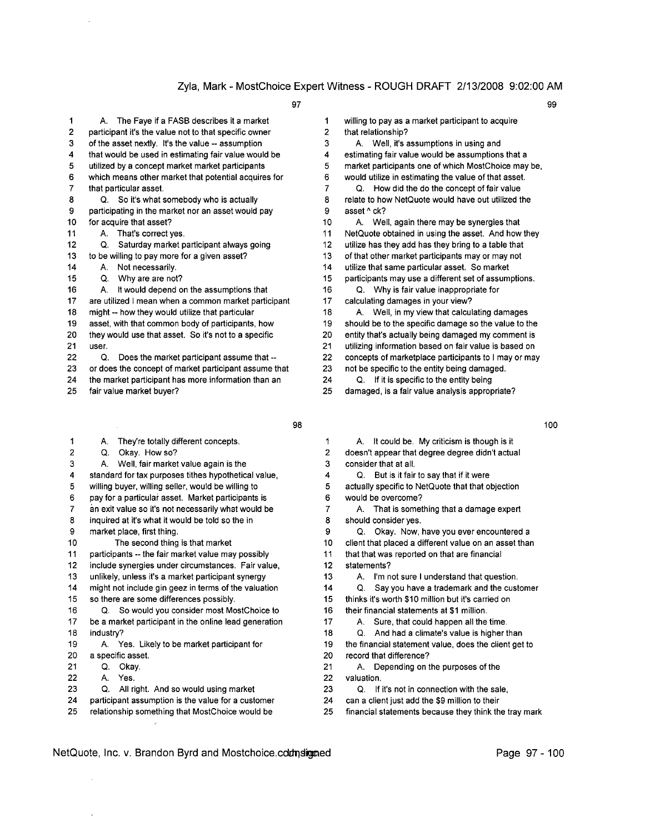1 2 participant it's the value not to that specific owner 2 that relationship?

- 3 of the asset nextly. It's the value -- assumption 3
- 
- 
- 
- 
- 9 participating in the market nor an asset would pay  $\overline{9}$  asset ^ ck?
- -
- 12 Q. Saturday market participant always going 12 utilize has they add has they bring to a table that
- 13 to be willing to pay more for a given asset? 13 of that other market participants mayor may not
- 
- 
- 16 A. It would depend on the assumptions that 16 Q. Why is fair value inappropriate for
- 17 are utilized I mean when a common market participant 17 calculating damages in your view?
- 
- 
- 
- 
- 23 or does the concept of market participant assume that 23 not be specific to the entity being damaged.
- 24 the market participant has more information than an 24 Q. If it is specific to the entity being
- 

- 1 A. They're totally different concepts. 1
- 2 Q. Okay. How so? 2 doesn't appear that degree degree didn't actual
- 3 A. Well, fair market value again is the 3 consider that at all.
- 4 standard for tax purposes tithes hypothetical value, 4 Q. But is it fair to say that if it were
- 5 willing buyer, willing seller, would be willing to 5 actually specific to NetQuote that that objection
- 6 pay for a particular asset. Market participants is 6 would be overcome?
- 7 an exit value so it's not necessarily what would be 7
- 8 inquired at it's what it would be told so the in 8 should consider yes.
- 
- 
- 11 participants -- the fair market value may possibly 11 that that was reported on that are financial
- 12 include synergies under circumstances. Fair value, 12 statements?
- 
- 
- 
- 16 Q. So would you consider most MostChoice to 16 their financial statements at \$1 million. 17 be a market participant in the online lead generation 17 A. Sure, that could happen all the time.
- 
- 
- 
- 
- 22 A. Yes. 22 valuation.
- 23 Q. All right. And so would using market 23 Q. If it's not in connection with the sale,
- 
- 
- 97 99 A. The Faye if a FASB describes it a market 1 willing to pay as a market participant to acquire A. Well, it's assumptions in using and 4 that would be used in estimating fair value would be 4 estimating fair value would be assumptions that a 5 utilized by a concept market market participants 5 market participants one of which MostChoice may be, 6 which means other market that potential acquires for 6 would utilize in estimating the value of that asset. 7 that particular asset. 7 Q. How did the do the concept of fair value
- 8 Q. So it's what somebody who is actually 8 relate to how NetQuote would have out utilized the
- 10 for acquire that asset? 10 A. Well, again there may be synergies that
- 11 A. That's correct yes. 11 NetQuote obtained in using the asset. And how they
	-
	-
- 14 A. Not necessarily. 14 utilize that same particular asset. So market
- 15 Q. Why are are not? 15 participants may use a different set of assumptions.
	-
- 18 might -- how they would utilize that particular 18 A. Well, in my view that calculating damages
- 19 asset, with that common body of participants, how 19 should be to the specific damage so the value to the
- 20 they would use that asset. So it's not to a specific 20 entity that's actually being damaged my comment is
- 21 user. 21 utilizing information based on fair value is based on
- 22 Q. Does the market participant assume that -- 22 concepts of marketplace participants to I may or may
	-
	-
- 25 fair value market buyer? 25 damaged, is a fair value analysis appropriate?
	- 98 100
		- A. It could be. My criticism is though is it
		-
		- -
		-
		- A. That is something that a damage expert
- 9 market place, first thing. 9 Q. Okay. Now, have you ever encountered a
- 10 The second thing is that market 10 client that placed a different value on an asset than
	-
	-
- 13 unlikely, unless it's a market participant synergy 13 A. I'm not sure I understand that question.
- 14 might not include gin geez in terms of the valuation 14 Q. Say you have a trademark and the customer
- 15 so there are some differences possibly. 15 thinks it's worth \$10 million but it's carried on
	-
	-
- 18 industry? 18 C. And had a climate's value is higher than
- 19 A. Yes. Likely to be market participant for 19 the financial statement value, does the client get to 20 a specific asset. 20 record that difference?
- 21 Q. Okay. 21 A. Depending on the purposes of the
	-
	-
- 24 participant assumption is the value for a customer 24 can a client just add the \$9 million to their
- 25 relationship something that MostChoice would be 25 financial statements because they think the tray mark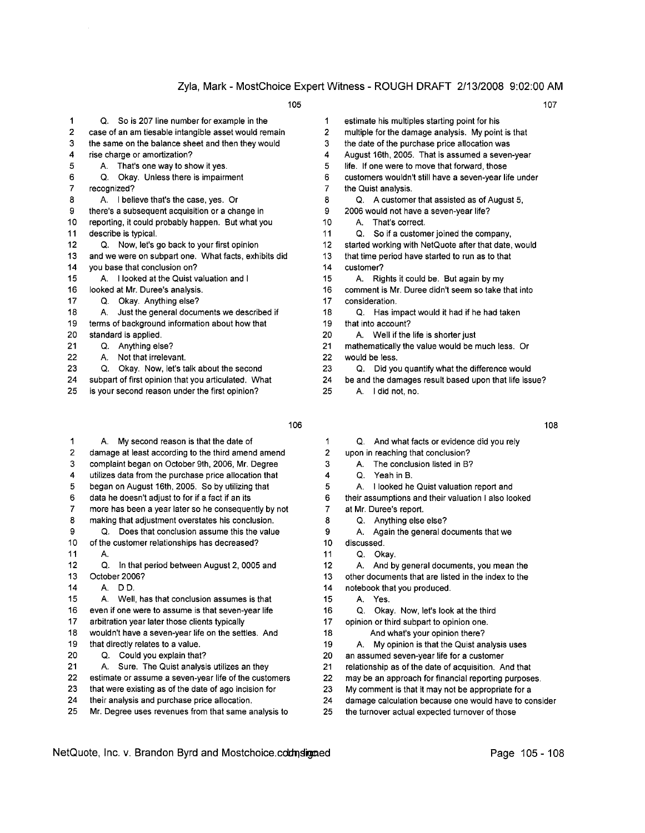| 1  | So is 207 line number for example in the<br>Q.       | 1  | estimate his multiple  |
|----|------------------------------------------------------|----|------------------------|
| 2  | case of an am tiesable intangible asset would remain | 2  | multiple for the dama  |
| 3  | the same on the balance sheet and then they would    | 3  | the date of the purch  |
| 4  | rise charge or amortization?                         | 4  | August 16th, 2005.     |
| 5  | That's one way to show it yes.<br>А.                 | 5  | life. If one were to m |
| 6  | Okay. Unless there is impairment<br>Q.               | 6  | customers wouldn't     |
| 7  | recognized?                                          | 7  | the Quist analysis.    |
| 8  | I believe that's the case, yes. Or<br>А.             | 8  | Q. A customer t        |
| 9  | there's a subsequent acquisition or a change in      | 9  | 2006 would not have    |
| 10 | reporting, it could probably happen. But what you    | 10 | That's corred<br>А.    |
| 11 | describe is typical.                                 | 11 | So if a custo<br>Q.    |
| 12 | Now, let's go back to your first opinion<br>Q.       | 12 | started working with   |
| 13 | and we were on subpart one. What facts, exhibits did | 13 | that time period have  |
| 14 | you base that conclusion on?                         | 14 | customer?              |
| 15 | A. I looked at the Quist valuation and I             | 15 | Rights it cou<br>А.    |
| 16 | looked at Mr. Duree's analysis.                      | 16 | comment is Mr. Dure    |
| 17 | Okay. Anything else?<br>Q.                           | 17 | consideration.         |
| 18 | Just the general documents we described if<br>А.     | 18 | Has impact<br>Q.       |
| 19 | terms of background information about how that       | 19 | that into account?     |
| 20 | standard is applied.                                 | 20 | A. Well if the lif     |
| 21 | Anything else?<br>Q.                                 | 21 | mathematically the v   |
| 22 | Not that irrelevant.<br>А.                           | 22 | would be less.         |
| 23 | Okay. Now, let's talk about the second<br>Q.         | 23 | Q.<br>Did you qua      |
| 24 | subpart of first opinion that you articulated. What  | 24 | be and the damages     |
| 25 | is your second reason under the first opinion?       | 25 | I did not, no.<br>Α.   |

- 1 2 damage at least according to the third amend amend 2 upon in reaching that conclusion? 3 complaint began on October 9th, 2006, Mr. Degree 3 4 utilizes data from the purchase price allocation that 4 Q. Yeah in B. 5 began on August 16th, 2005. So by utilizing that 5 6 data he doesn't adjust to for if a fact if an its 6 their assumptions and their valuation I also looked 7 more has been a year later so he consequently by not 7 at Mr. Duree's report. 8 making that adjustment overstates his conclusion. 8 Q. Anything else else? 9 Q. Does that conclusion assume this the value 9 A. Again the general documents that we 10 of the customer relationships has decreased? 10 discussed. 11 A. 2002. A. 2004. A. 2004. A. 2006. A. 2006. A. 2007. A. 2006. A. 2007. A. 2006. A. 2007. A. 2007. A. 2007. 12 Q. In that period between August 2, 0005 and 12 A. And by general documents, you mean the<br>13 October 2006? 13 other documents that are listed in the index to the 13 October 2006? 13 other documents that are listed in the index to the 14 A. D.D. 14 notebook that you produced. 15 A. Well, has that conclusion assumes is that 15 A. Yes. 16 even if one were to assume is that seven-year life 16 Q. Okay. Now, let's look at the third 17 arbitration year later those clients typically 17 opinion or third subpart to opinion one. 18 wouldn't have a seven-year life on the settles. And 18 And what's your opinion there? 19 that directly relates to a value. 19 A. My opinion is that the Quist analysis uses 20 Q. Could you explain that? 20 an assumed seven-year life for a customer 21 A. Sure. The Quist analysis utilizes an they 21 relationship as of the date of acquisition. And that 22 estimate or assume a seven-year life of the customers 22 may be an approach for financial reporting purposes. 23 that were existing as of the date of ago incision for 23 My comment is that it may not be appropriate for a 24 their analysis and purchase price allocation. 24 damage calculation because one would have to consider
- 25 Mr. Degree uses revenues from that same analysis to 25 the turnover actual expected turnover of those
- 1 estimate his multiples starting point for his 2 multiple for the damage analysis. My point is that 3 the date of the purchase price allocation was 4 August 16th, 2005. That is assumed a seven-year 5 life. If one were to move that forward, those 6 customers wouldn't still have a seven-year life under 7 the Quist analysis. 8 Q. A customer that assisted as of August 5, 9 2006 would not have a seven-year life? 10 A. That's correct. 11 Q. So if a customer joined the company, 12 started working with NetQuote after that date, would 13 that time period have started to run as to that 15 A. Rights it could be. But again by my
- 16 comment is Mr. Duree didn't seem so take that into 17 consideration
- 18 Q. Has impact would it had if he had taken
- 19 that into account?
- 20 A. Well if the life is shorter just
- 21 mathematically the value would be much less. Or
- 22 would be less.
- 23 Q. Did you quantify what the difference would
- 24 be and the damages result based upon that life issue?
	-
- 106 108
- A. My second reason is that the date of 1 Q. And what facts or evidence did you rely
	-
	- A. The conclusion listed in B?
		-
	- A. I looked he Quist valuation report and
	-
	-
	-
	-
	-
	-
	-
	-
	-
	-
	- -
	-
	-
	-
	-
	-
	-
	-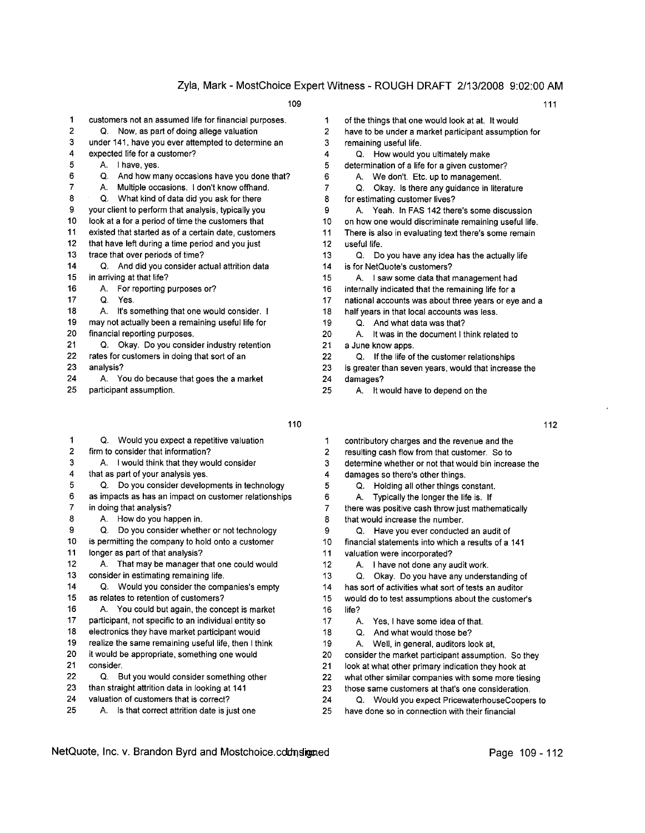| 1  | customers not an assumed life for financial purposes. | 1              |
|----|-------------------------------------------------------|----------------|
| 2  | Now, as part of doing allege valuation<br>Q.          | $\overline{2}$ |
| 3  | under 141, have you ever attempted to determine an    | 3              |
| 4  | expected life for a customer?                         | 4              |
| 5  | I have, yes.<br>А.                                    | 5              |
| 6  | And how many occasions have you done that?<br>Q.      | 6              |
| 7  | Multiple occasions. I don't know offhand.<br>А.       | 7              |
| 8  | Q.<br>What kind of data did you ask for there         | 8              |
| 9  | your client to perform that analysis, typically you   | 9              |
| 10 | look at a for a period of time the customers that     | 10             |
| 11 | existed that started as of a certain date, customers  | 11             |
| 12 | that have left during a time period and you just      | 12             |
| 13 | trace that over periods of time?                      | 13             |
| 14 | Q. And did you consider actual attrition data         | 14             |
| 15 | in arriving at that life?                             | 15             |
| 16 | For reporting purposes or?<br>А.                      | 16             |
| 17 | Ο.<br>Yes.                                            | 17             |
| 18 | It's something that one would consider. I<br>А.       | 18             |
| 19 | may not actually been a remaining useful life for     | 19             |
| 20 | financial reporting purposes.                         | 20             |
| 21 | Q. Okay. Do you consider industry retention           | 21             |
| 22 | rates for customers in doing that sort of an          | 22             |
| 23 | analysis?                                             | 23             |
| 24 | A. You do because that goes the a market              | 24             |
|    |                                                       |                |

25 participant assumption.

| 1  | Q. Would you expect a repetitive valuation            |
|----|-------------------------------------------------------|
| 2  | firm to consider that information?                    |
| 3  | I would think that they would consider<br>А.          |
| 4  | that as part of your analysis yes.                    |
| 5  | Do you consider developments in technology<br>O.      |
| 6  | as impacts as has an impact on customer relationships |
| 7  | in doing that analysis?                               |
| 8  | How do you happen in.<br>А.                           |
| 9  | Do you consider whether or not technology<br>Q.       |
| 10 | is permitting the company to hold onto a customer     |
| 11 | longer as part of that analysis?                      |
| 12 | That may be manager that one could would<br>А.        |
| 13 | consider in estimating remaining life.                |
| 14 | Q. Would you consider the companies's empty           |
| 15 | as relates to retention of customers?                 |
| 16 | You could but again, the concept is market<br>А.      |
| 17 | participant, not specific to an individual entity so  |
| 18 | electronics they have market participant would        |
| 19 | realize the same remaining useful life, then I think  |
| 20 | it would be appropriate, something one would          |
| 21 | consider.                                             |
| 22 | But you would consider something other<br>Q.          |
| 23 | than straight attrition data in looking at 141        |
| 24 | valuation of customers that is correct?               |
| 25 | Is that correct attrition date is just one<br>А.      |
|    |                                                       |
|    |                                                       |

| 109 |  |  | 111 |  |
|-----|--|--|-----|--|
|     |  |  |     |  |

- of the things that one would look at at. It would
- have to be under a market participant assumption for
- remaining useful life.
- Q. How would you ultimately make
- determination of a life for a given customer?
- 6 A. We don't. Etc. up to management.
- Q. Okay. Is there any guidance in literature
- for estimating customer lives?
- A. Yeah. In FAS 142 there's some discussion
- on how one would discriminate remaining useful life.
- There is also in evaluating text there's some remain useful life.
- 13 Q. Do you have any idea has the actually life
- is for NetQuote's customers?
- A. I saw some data that management had
- internally indicated that the remaining life for a
- national accounts was about three years or eye and a
- half years in that local accounts was less.
- Q. And what data was that?
- A. It was in the document I think related to
- a June know apps.
	- Q. If the life of the customer relationships
- is greater than seven years, would that increase the
- 24 damages?
- 25 A. It would have to depend on the
- $110$  112
	- 1 contributory charges and the revenue and the
	- 2 resulting cash flow from that customer. So to
	- 3 determine whether or not that would bin increase the
	- 4 damages so there's other things.
	- 5 Q. Holding all other things constant.
	- 6 A. Typically the longer the life is. If
	- 7 there was positive cash throw just mathematically 8 that would increase the number.
	- 9 Q. Have you ever conducted an audit of
	- 10 financial statements into which a results of a 141
	- 11 valuation were incorporated?
	- 12 A. I have not done any audit work.
	- 13 Q. Okay. Do you have any understanding of
	- 14 has sort of activities what sort of tests an auditor

15 would do to test assumptions about the customer's 16 life?

- 17 A. Yes, I have some idea of that.
- 18 Q. And what would those be?
- 19 A. Well, in general, auditors look at,
- 20 consider the market participant assumption. So they
- 21 look at what other primary indication they hook at
- 22 what other similar companies with some more tiesing
- 23 those same customers at that's one consideration.
- 24 Q. Would you expect PricewaterhouseCoopers to 25 have done so in connection with their financial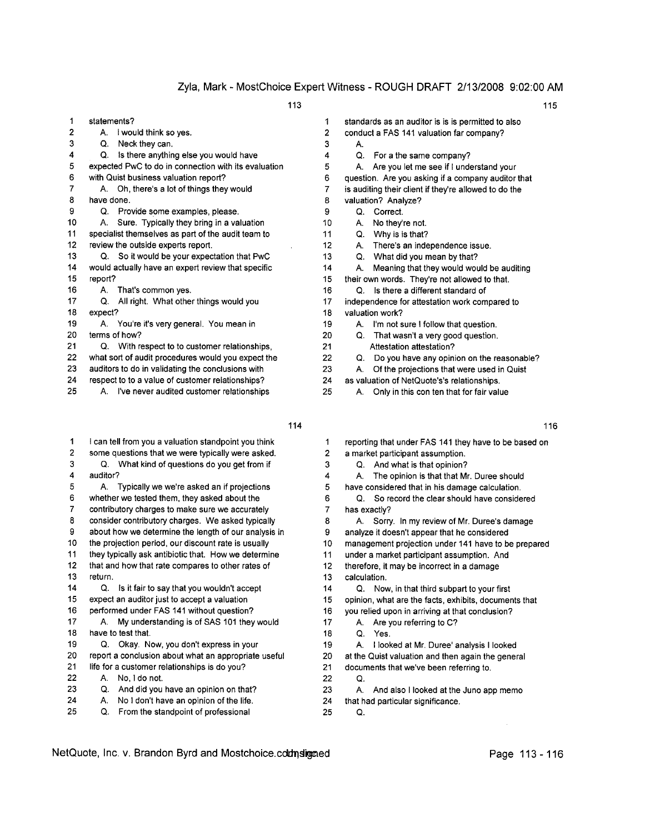1 statements? 1 standards as an auditor is is is permitted to also 2 A. I would think so yes. 2 conduct a FAS 141 valuation far company? 3 Q. Neck they can. 3 4 Q. Is there anything else you would have  $4$  Q. For a the same company? 5 expected PwC to do in connection with its evaluation 5 6 with Quist business valuation report? 6 question. Are you asking if a company auditor that 7 A. Oh, there's a lot of things they would **7** is auditing their client if they're allowed to do the 8 have done. **8 and 1997** and 1997 and 1998 and 1998 and 1998 and 1998 and 1998 and 1998 and 1998 and 1998 and 1998 and 1998 and 1998 and 1998 and 1998 and 1998 and 1998 and 1998 and 1998 and 1998 and 1998 and 1998 and 199 9 Q. Provide some examples, please. 9 Q. Correct. 10 A. Sure. Typically they bring in a valuation 10 A. No they're not. 11 specialist themselves as part of the audit team to 11 Q. Why is is that? 12 review the outside experts report. 12 A. There's an independence issue. 13 Q. So it would be your expectation that PwC 13 Q. What did you mean by that? 14 would actually have an expert review that specific 14 A. Meaning that they would would be auditing 15 report? 15 their own words. They're not allowed to that. 16 A. That's common yes. 16 Q. Is there a different standard of 17 Q. All right. What other things would you 17 independence for attestation work compared to 18 expect? 18 valuation work? 19 A. You're it's very general. You mean in 19 A. I'm not sure I follow that question. 20 terms of how? 20 Q. That wasn't a very good question. 21 Q. With respect to to customer relationships, 21 Attestation attestation? 22 what sort of audit procedures would you expect the 22 Q. Do you have any opinion on the reasonable? 23 auditors to do in validating the conclusions with 23 A. Of the projections that were used in Quist 24 respect to to a value of customer relationships? 24 as valuation of NetQuote's's relationships. 25 A. I've never audited customer relationships 25 A. Only in this con ten that for fair value

| 116                                                   |
|-------------------------------------------------------|
| reporting that under FAS 141 they have to be based on |
| a market participant assumption.                      |
| Q. And what is that opinion?                          |
| The opinion is that that Mr. Duree should             |
| have considered that in his damage calculation.       |
| Q. So record the clear should have considered         |
|                                                       |
| A. Sorry. In my review of Mr. Duree's damage          |
| analyze it doesn't appear that he considered          |
| management projection under 141 have to be prepared   |
| under a market participant assumption. And            |
| therefore, it may be incorrect in a damage            |
|                                                       |
| Q. Now, in that third subpart to your first           |
| opinion, what are the facts, exhibits, documents that |
| you relied upon in arriving at that conclusion?       |
| Are you referring to C?                               |
|                                                       |
| I looked at Mr. Duree' analysis I looked              |
| at the Quist valuation and then again the general     |
| documents that we've been referring to.               |
|                                                       |
| And also I looked at the Juno app memo                |
| that had particular significance.                     |
|                                                       |
|                                                       |

- 
- A.
	-
	- A. Are you let me see if I understand your
- 
- 
- 
- 
- 
- 
- 
- 
- 
- 
- 
- 
- -
	-
	-
	-
	-
- 
- 
- 
- 
- 
- 
- A. The opinion is that that Mr. Duree should
- 5 have considered that in his damage calculation.
	-
- A. Sorry. In my review of Mr. Duree's damage
- 
- 
- 
- 
- 
- 
- 
- -
	-
- 
- 
- -
- 
- 
-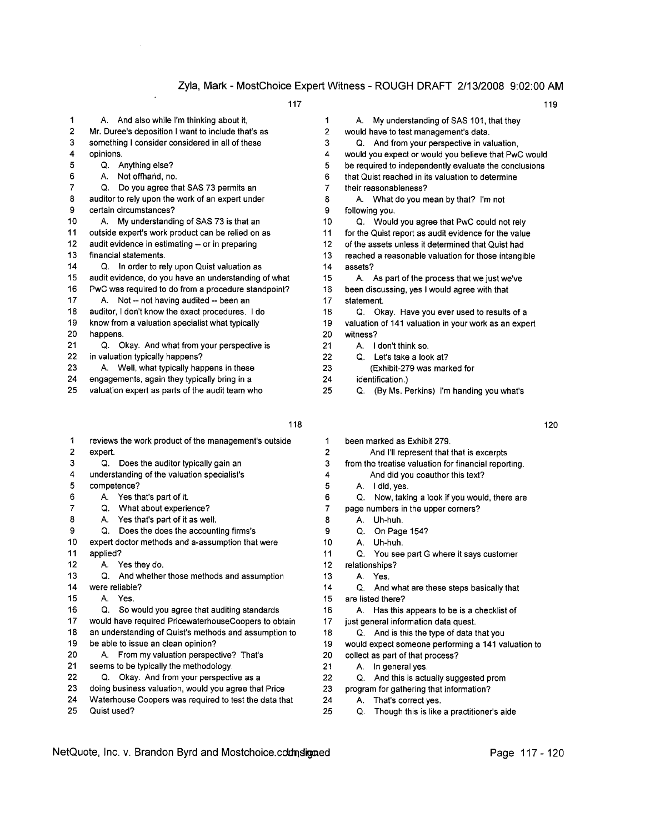|    | 117                                                  |    | 119                                                   |
|----|------------------------------------------------------|----|-------------------------------------------------------|
| 1  | A. And also while I'm thinking about it,             | 1  | My understanding of SAS 101, that they<br>А.          |
| 2  | Mr. Duree's deposition I want to include that's as   | 2  | would have to test management's data.                 |
| 3  | something I consider considered in all of these      | 3  | Q. And from your perspective in valuation,            |
| 4  | opinions.                                            | 4  | would you expect or would you believe that PwC would  |
| 5  | Q. Anything else?                                    | 5  | be required to independently evaluate the conclusions |
| 6  | Not offhand, no.<br>А.                               | 6  | that Quist reached in its valuation to determine      |
| 7  | Do you agree that SAS 73 permits an<br>Q.            | 7  | their reasonableness?                                 |
| 8  | auditor to rely upon the work of an expert under     | 8  | A. What do you mean by that? I'm not                  |
| 9  | certain circumstances?                               | 9  | following you.                                        |
| 10 | A. My understanding of SAS 73 is that an             | 10 | Q. Would you agree that PwC could not rely            |
| 11 | outside expert's work product can be relied on as    | 11 | for the Quist report as audit evidence for the value  |
| 12 | audit evidence in estimating -- or in preparing      | 12 | of the assets unless it determined that Quist had     |
| 13 | financial statements.                                | 13 | reached a reasonable valuation for those intangible   |
| 14 | Q. In order to rely upon Quist valuation as          | 14 | assets?                                               |
| 15 | audit evidence, do you have an understanding of what | 15 | A. As part of the process that we just we've          |
| 16 | PwC was required to do from a procedure standpoint?  | 16 | been discussing, yes I would agree with that          |
| 17 | A. Not -- not having audited -- been an              | 17 | statement.                                            |
| 18 | auditor, I don't know the exact procedures. I do     | 18 | Q. Okay. Have you ever used to results of a           |
| 19 | know from a valuation specialist what typically      | 19 | valuation of 141 valuation in your work as an expert  |
| 20 | happens.                                             | 20 | witness?                                              |
| 21 | Q. Okay. And what from your perspective is           | 21 | I don't think so.<br>А.                               |
| 22 | in valuation typically happens?                      | 22 | Q. Let's take a look at?                              |
| 23 | A. Well, what typically happens in these             | 23 | (Exhibit-279 was marked for                           |
| 24 | engagements, again they typically bring in a         | 24 | identification.)                                      |
| 25 | valuation expert as parts of the audit team who      | 25 | (By Ms. Perkins) I'm handing you what's<br>Q.         |

| 1  |                | reviews the work product of the management's outside  |
|----|----------------|-------------------------------------------------------|
| 2  | expert.        |                                                       |
| 3  | Q.             | Does the auditor typically gain an                    |
| 4  |                | understanding of the valuation specialist's           |
| 5  | competence?    |                                                       |
| 6  |                | A. Yes that's part of it.                             |
| 7  | Q.             | What about experience?                                |
| 8  | А.             | Yes that's part of it as well.                        |
| 9  | Q.             | Does the does the accounting firms's                  |
| 10 |                | expert doctor methods and a-assumption that were      |
| 11 | applied?       |                                                       |
| 12 |                | A. Yes they do.                                       |
| 13 | O.             | And whether those methods and assumption              |
| 14 | were reliable? |                                                       |
| 15 | A              | Yes.                                                  |
| 16 | Q.             | So would you agree that auditing standards            |
| 17 |                | would have required PricewaterhouseCoopers to obtain  |
| 18 |                | an understanding of Quist's methods and assumption to |
| 19 |                | be able to issue an clean opinion?                    |
| 20 | А.             | From my valuation perspective? That's                 |
| 21 |                | seems to be typically the methodology.                |
| 22 | Q.             | Okay. And from your perspective as a                  |
| 23 |                | doing business valuation, would you agree that Price  |
| 24 |                | Waterhouse Coopers was required to test the data that |
| 25 | Quist used?    |                                                       |

| 1             | My understanding of SAS 101, that they<br>А.          |
|---------------|-------------------------------------------------------|
| 2             | would have to test management's data.                 |
| 3             | Q. And from your perspective in valuation,            |
| 4             | would you expect or would you believe that PwC would  |
| 5             | be required to independently evaluate the conclusions |
| 6             | that Quist reached in its valuation to determine      |
| 7             | their reasonableness?                                 |
| 8             | A. What do you mean by that? I'm not                  |
| 9             | following you.                                        |
| 10            | Q. Would you agree that PwC could not rely            |
| 11            | for the Quist report as audit evidence for the value  |
| $12 \,$       | of the assets unless it determined that Quist had     |
| 13            | reached a reasonable valuation for those intangible   |
| 14            | assets?                                               |
| 15            | A. As part of the process that we just we've          |
| 16            | been discussing, yes I would agree with that          |
| 17            | statement.                                            |
| 18            | Q. Okay. Have you ever used to results of a           |
| 19            | valuation of 141 valuation in your work as an expert  |
| 20            | witness?                                              |
| 21            | I don't think so.<br>A.                               |
| 22            | Q.<br>Let's take a look at?                           |
| 23            | (Exhibit-279 was marked for                           |
| 24            | identification.)                                      |
| $\sim$ $\sim$ |                                                       |

- 25 Q. (By Ms. Perkins) I'm handing you what's
	-

| 118 |    |                                                      | 120 |
|-----|----|------------------------------------------------------|-----|
| ì   | 1  | been marked as Exhibit 279.                          |     |
|     | 2  | And I'll represent that that is excerpts             |     |
|     | 3  | from the treatise valuation for financial reporting. |     |
|     | 4  | And did you coauthor this text?                      |     |
|     | 5  | I did, yes.<br>А.                                    |     |
|     | 6  | Now, taking a look if you would, there are<br>Q.     |     |
|     | 7  | page numbers in the upper corners?                   |     |
|     | 8  | Uh-huh.<br>A.                                        |     |
|     | 9  | Q.<br>On Page 154?                                   |     |
|     | 10 | Uh-huh.<br>A                                         |     |
|     | 11 | Q.<br>You see part G where it says customer          |     |
|     | 12 | relationships?                                       |     |
|     | 13 | Yes.<br>А.                                           |     |
|     | 14 | Q.<br>And what are these steps basically that        |     |
|     | 15 | are listed there?                                    |     |
|     | 16 | Has this appears to be is a checklist of<br>A.       |     |
| in. | 17 | just general information data quest.                 |     |
| to  | 18 | And is this the type of data that you<br>O.          |     |
|     | 19 | would expect someone performing a 141 valuation to   |     |
|     | 20 | collect as part of that process?                     |     |
|     | 21 | In general yes.<br>А.                                |     |
|     | 22 | And this is actually suggested prom<br>О.            |     |
|     | 23 | program for gathering that information?              |     |

- 24 A. That's correct yes.
- 25 Q. Though this is like a practitioner's aide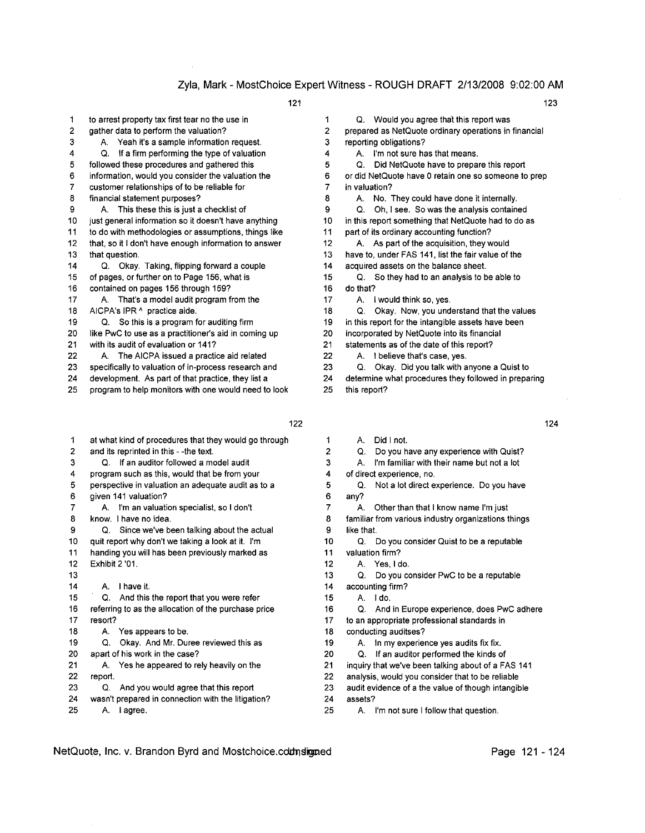1 to arrest property tax first tear no the use in 1 Q. Would you agree that this report was

- 3
	- A. Yeah it's a sample information request. 3 reporting obligations?
- 4 Q. If a firm performing the type of valuation 4
- 
- 7 customer relationships of to be reliable for T 7 in valuation?
- 8 financial statement purposes? 8
- 9
- 10 just general information so it doesn't have anything 10 in this report something that NetQuote had to do as
- 11 to do with methodologies or assumptions, things like 11 part of its ordinary accounting function?
- 12 that, so it I don't have enough information to answer 12 A. As part of the acquisition, they would
- 
- 14 Q. Okay. Taking, flipping forward a couple 14 acquired assets on the balance sheet.
- 
- 16 contained on pages 156 through 159? 16 do that?
- 17 A. That's a model audit program from the 17 A. I would think so, yes.
- 
- 
- 20 like PWC to use as a practitioner's aid in coming up 20 incorporated by NetQuote into its financial
- 21 with its audit of evaluation or 141? 21 statements as of the date of this report?
- 22 A. The AICPA issued a practice aid related 22 A. I believe that's case, yes.
- 23 specifically to valuation of in-process research and 23 Q. Okay. Did you talk with anyone a Quist to
- 
- 25 program to help monitors with one would need to look 25 this report?
	-
- 1 at what kind of procedures that they would go through 1 2 and its reprinted in this - -the text. 2 Q. Do you have any experience with Quist? 3 Q. If an auditor followed a model audit 3 4 program such as this, would that be from your 4 of direct experience, no. 5 perspective in valuation an adequate audit as to a 5 Q. Not a lot direct experience. Do you have 6 given 141 valuation? 6 any? 7 A. I'm an valuation specialist, so I don't 7 8 know. I have no idea. 8 familiar from various industry organizations things 9 Q. Since we've been talking about the actual 9 like that. 10 quit report why don't we taking a look at it. I'm 10 Q. Do you consider Quist to be a reputable 11 handing you will has been previously marked as 11 valuation firm? 12 Exhibit 2 '01. 12 A. Yes, I do. 13 13 Q. Do you consider PwC to be a reputable 14 A. I have it. 14 accounting firm? 15 Q. And this the report that you were refer 15 A. I do. 16 referring to as the allocation of the purchase price 16 Q. And in Europe experience, does PwC adhere 17 resort? 17 to an appropriate professional standards in 18 A. Yes appears to be. 18 Conducting auditses? 19 Q. Okay. And Mr. Duree reviewed this as 19 A. In my experience yes audits fix fix. 20 apart of his work in the case? 20 Q. If an auditor performed the kinds of 21 A. Yes he appeared to rely heavily on the 21 inquiry that we've been talking about of a FAS 141 22 report. 22 analysis, would you consider that to be reliable 23 Q. And you would agree that this report 23 audit evidence of a the value of though intangible 24 wasn't prepared in connection with the litigation? 24 assets? 25 A. I agree. 25 A. I'm not sure I follow that question.

121 123

2 gather data to perform the valuation? 2 prepared as NetQuote ordinary operations in financial

- A. I'm not sure has that means.
- 5 followed these procedures and gathered this 5 Q. Did NetQuote have to prepare this report

6 information, would you consider the valuation the 6 or did NetQuote have 0 retain one so someone to prep

- A. No. They could have done it internally.
- A. This these this is just a checklist of  $9$  Q. Oh, I see. So was the analysis contained
	-

- 
- 13 that question. 13 have to, under FAS 141, list the fair value of the
	-
- 15 of pages, or further on to Page 156, what is 15 Q. So they had to an analysis to be able to
	- -
- 18 AICPA's IPR ^ practice aide. 18 Q. Okay. Now, you understand that the values
- 19 Q. So this is a program for auditing firm 19 in this report for the intangible assets have been
	-
	- -
	-
- 24 development. As part of that practice, they list a 24 determine what procedures they followed in preparing
	- - A. Did I not.
		-
		- A. I'm familiar with their name but not a lot
		-
		-
		- A. Other than that I know name I'm just
		-
	-
	-
	-
	-
	-
	-
	-
	-
	-
	-
	-
	-
	-
	-
	-
	-

- 
- 122 124
- -
	-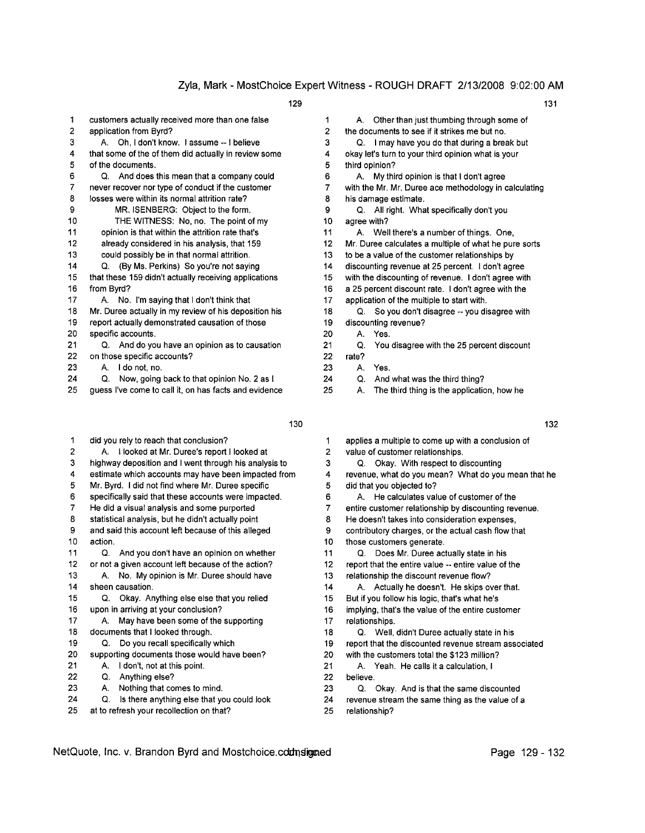| 1  | customers actually received more than one false       | 1              | Othe<br>А.            |
|----|-------------------------------------------------------|----------------|-----------------------|
| 2  | application from Byrd?                                | $\overline{2}$ | the docume            |
| 3  | A. Oh, I don't know. I assume -- I believe            | 3              | Q.<br>1 <sub>ma</sub> |
| 4  | that some of the of them did actually in review some  | 4              | okay let's tu         |
| 5  | of the documents.                                     | 5              | third opinior         |
| 6  | Q. And does this mean that a company could            | 6              | My t<br>А.            |
| 7  | never recover nor type of conduct if the customer     | 7              | with the Mr.          |
| 8  | losses were within its normal attrition rate?         | 8              | his damage            |
| 9  | MR. ISENBERG: Object to the form.                     | 9              | Q. Allın              |
| 10 | THE WITNESS: No, no. The point of my                  | 10             | agree with?           |
| 11 | opinion is that within the attrition rate that's      | 11             | A. Wel                |
| 12 | already considered in his analysis, that 159          | 12             | Mr. Duree o           |
| 13 | could possibly be in that normal attrition.           | 13             | to be a valu          |
| 14 | Q. (By Ms. Perkins) So you're not saying              | 14             | discounting           |
| 15 | that these 159 didn't actually receiving applications | 15             | with the dis-         |
| 16 | from Byrd?                                            | 16             | a 25 percer           |
| 17 | No. I'm saying that I don't think that<br>A.          | 17             | application           |
| 18 | Mr. Duree actually in my review of his deposition his | 18             | Q.<br>So <sub>1</sub> |
| 19 | report actually demonstrated causation of those       | 19             | discounting           |
| 20 | specific accounts.                                    | 20             | Yes<br>А.             |
| 21 | Q. And do you have an opinion as to causation         | 21             | You<br>Q.             |
| 22 | on those specific accounts?                           | 22             | rate?                 |
| 23 | I do not, no.<br>А.                                   | 23             | Yes<br>А.             |
| 24 | Now, going back to that opinion No. 2 as I<br>Q.      | 24             | Q.<br>Anc             |
| 25 | guess I've come to call it, on has facts and evidence | 25             | The<br>А.             |
|    |                                                       |                |                       |

- 2
- 
- 
- 5 Mr. Byrd. I did not find where Mr. Duree specific 5 did that you objected to?
- 6 specifically said that these accounts were impacted. 6
- 
- 
- 9 and said this account left because of this alleged 9 contributory charges, or the actual cash flow that
- 
- 
- 
- 13 A. No. My opinion is Mr. Duree should have 13 relationship the discount revenue flow? 14 sheen causation. 14 A. Actually he doesn't. He skips over that.
- 15 Q. Okay. Anything else else that you relied 15 But if you follow his logic, that's what he's
- 
- 17 A. May have been some of the supporting 17 relationships.
- 
- 
- 
- 22 Q. Anything else? 22 believe.
	-
	-
- 25 at to refresh your recollection on that? 25 relationship?

| $\mathbf 1$    | Other than just thumbing through some of<br>А.        |
|----------------|-------------------------------------------------------|
| $\overline{2}$ | the documents to see if it strikes me but no.         |
| 3              | I may have you do that during a break but<br>Q.       |
| 4              | okay let's turn to your third opinion what is your    |
| 5              | third opinion?                                        |
| 6              | My third opinion is that I don't agree<br>А.          |
|                | with the Mr. Mr. Duree ace methodology in calculating |
|                |                                                       |

- 8 his damage estimate. 9 Q. All right. What specifically don't you
- 10 agree with?

- 11 A. Well there's a number of things. One,
- 12 Mr. Duree calculates a multiple of what he pure sorts
- 13 to be a value of the customer relationships by
- 14 discounting revenue at 25 percent. I don't agree
- 15 with the discounting of revenue. I don't agree with
- 16 a 25 percent discount rate. I don't agree with the
- 17 application of the multiple to start with.
- 18 Q. So you don't disagree -- you disagree with
- 19 discounting revenue?
	-
- 21 Q. You disagree with the 25 percent discount
- 
- 23 A. Yes.
- 24 Q. And what was the third thing?
- 25 A. The third thing is the application, how he
- *130* 132
- 1 did you rely to reach that conclusion? 1 applies a multiple to come up with a conclusion of
	- A. I looked at Mr. Duree's report I looked at 2 value of customer relationships.
- 3 highway deposition and I went through his analysis to 3 Q. Okay. With respect to discounting
- 4 estimate which accounts may have been impacted from 4 revenue, what do you mean? What do you mean that he
	- A. He calculates value of customer of the
- 7 He did a visual analysis and some purported 7 entire customer relationship by discounting revenue.
- 8 statistical analysis, but he didn't actually point 8 He doesn't takes into consideration expenses,
	-
- 10 action. **10** action.
- 11 Q. And you don't have an opinion on whether 11 Q. Does Mr. Duree actually state in his
- 12 or not a given account left because of the action? 12 report that the entire value -- entire value of the
	-
	-
	-
- 16 upon in arriving at your conclusion? 16 implying, that's the value of the entire customer
- 18 documents that I looked through. 18 Q. Well, didn't Duree actually state in his 19 Q. Do you recall specifically which 19 report that the discounted revenue stream associated
- 20 supporting documents those would have been? 20 with the customers total the \$123 million?
- 21 A. I don't, not at this point. 21 A. Yeah. He calls it a calculation, I
	-
- 23 A. Nothing that comes to mind. 23 Q. Okay. And is that the same discounted
- 24 Q. Is there anything else that you could look 24 revenue stream the same thing as the value of a
	-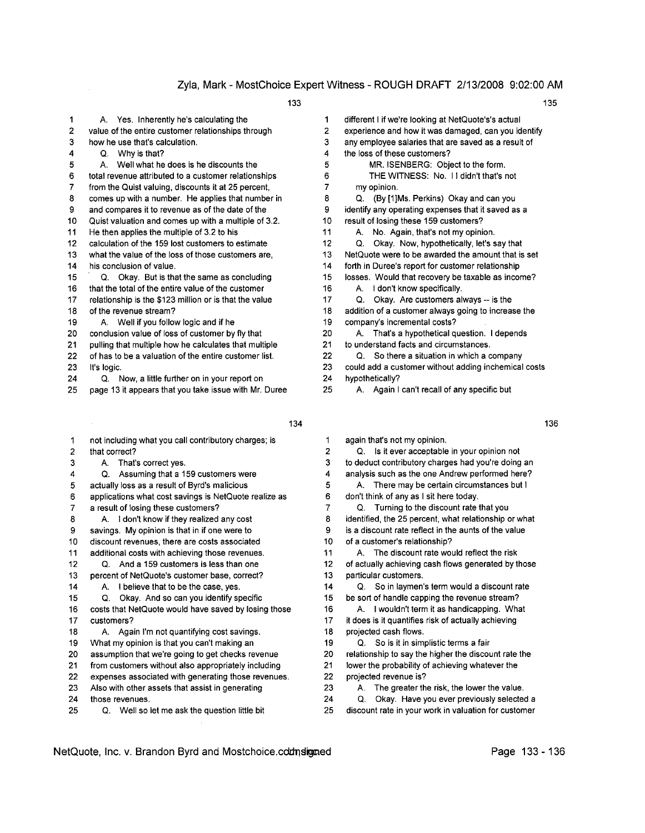| 1              | A. Yes. Inherently he's calculating the                | 1  | different I if we're looking at NetQuote's's actual  |
|----------------|--------------------------------------------------------|----|------------------------------------------------------|
| $\overline{2}$ | value of the entire customer relationships through     | 2  | experience and how it was damaged, can you identify  |
| 3              | how he use that's calculation.                         | 3  | any employee salaries that are saved as a result of  |
| 4              | Why is that?<br>Q.                                     | 4  | the loss of these customers?                         |
| 5              | A. Well what he does is he discounts the               | 5  | MR. ISENBERG: Object to the form.                    |
| 6              | total revenue attributed to a customer relationships   | 6  | THE WITNESS: No. 11 didn't that's not                |
| 7              | from the Quist valuing, discounts it at 25 percent,    | 7  | my opinion.                                          |
| 8              | comes up with a number. He applies that number in      | 8  | Q. (By [1] Ms. Perkins) Okay and can you             |
| 9              | and compares it to revenue as of the date of the       | 9  | identify any operating expenses that it saved as a   |
| 10             | Quist valuation and comes up with a multiple of 3.2.   | 10 | result of losing these 159 customers?                |
| 11             | He then applies the multiple of 3.2 to his             | 11 | A. No. Again, that's not my opinion.                 |
| 12             | calculation of the 159 lost customers to estimate      | 12 | Okay. Now, hypothetically, let's say that<br>Q.      |
| 13             | what the value of the loss of those customers are,     | 13 | NetQuote were to be awarded the amount that is set   |
| 14             | his conclusion of value.                               | 14 | forth in Duree's report for customer relationship    |
| 15             | Q. Okay. But is that the same as concluding            | 15 | losses. Would that recovery be taxable as income?    |
| 16             | that the total of the entire value of the customer     | 16 | I don't know specifically.<br>А.                     |
| 17             | relationship is the \$123 million or is that the value | 17 | Q. Okay. Are customers always -- is the              |
| 18             | of the revenue stream?                                 | 18 | addition of a customer always going to increase the  |
| 19             | A. Well if you follow logic and if he                  | 19 | company's incremental costs?                         |
| 20             | conclusion value of loss of customer by fly that       | 20 | That's a hypothetical question. I depends<br>А.      |
| 21             | pulling that multiple how he calculates that multiple  | 21 | to understand facts and circumstances.               |
| 22             | of has to be a valuation of the entire customer list.  | 22 | Q. So there a situation in which a company           |
| 23             | It's logic.                                            | 23 | could add a customer without adding inchemical costs |
| 24             | Now, a little further on in your report on<br>Q.       | 24 | hypothetically?                                      |
| 25             | page 13 it appears that you take issue with Mr. Duree  | 25 | A. Again I can't recall of any specific but          |

- 1 not including what you call contributory charges; is 1 again that's not my opinion.
- 
- 3
- 
- 5 actually loss as a result of Byrd's malicious 5
- 
- 8
- 
- 10 discount revenues, there are costs associated 10 of a customer's relationship?
- 
- 
- 13 percent of NetQuote's customer base, correct? 13 particular customers.
- 
- 
- 16 costs that NetQuote would have saved by losing those 16 A. I wouldn't term it as handicapping. What 17 customers? 17 it does is it quantifies risk of actually achieving
- 18 A. Again I'm not quantifying cost savings. 18 projected cash flows.
- 19 What my opinion is that you can't making an 19 Q. So is it in simplistic terms a fair
- 
- 
- 22 expenses associated with generating those revenues. 22 projected revenue is?
- 
- 
- 25 Q. Well so let me ask the question little bit 25 discount rate in your work in valuation for customer
- 134 136
- 2 that correct? 2 Q. Is it ever acceptable in your opinion not A. That's correct yes. 3 to deduct contributory charges had you're doing an 4 Q. Assuming that a 159 customers were 4 analysis such as the one Andrew performed here? A. There may be certain circumstances but I 6 applications what cost savings is NetQuote realize as 6 don't think of any as I sit here today. 7 a result of losing these customers? 7 Q. Turning to the discount rate that you A. I don't know if they realized any cost 8 identified, the 25 percent, what relationship or what 9 savings. My opinion is that in if one were to 9 is a discount rate reflect in the aunts of the value 11 additional costs with achieving those revenues. 11 A. The discount rate would reflect the risk 12 Q. And a 159 customers is less than one 12 of actually achieving cash flows generated by those 14 A. I believe that to be the case, yes. 14 Q. So in laymen's term would a discount rate 15 Q. Okay. And so can you identify specific 15 be sort of handle capping the revenue stream? 20 assumption that we're going to get checks revenue 20 relationship to say the higher the discount rate the 21 from customers without also appropriately including 21 lower the probability of achieving whatever the
- 23 Also with other assets that assist in generating 23 A. The greater the risk, the lower the value.
- 24 those revenues. 24 Q. Okay. Have you ever previously selected a
	-
- NetQuote, Inc. v. Brandon Byrd and Mostchoice.cddnsigned Page 133 136

- 
- 
- 
-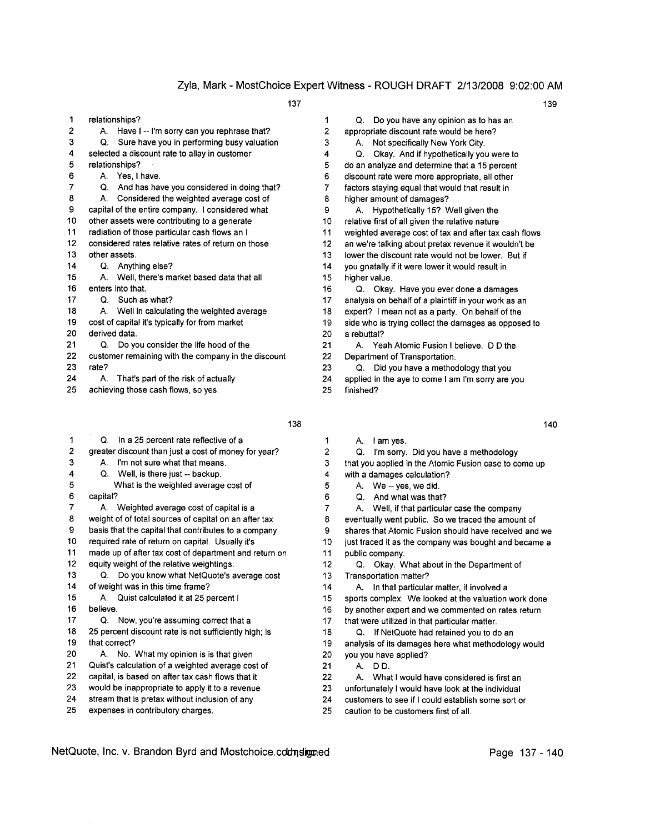- 1 relationships? 2 A. Have I -- I'm sorry can you rephrase that? 3 Q. Sure have you in performing busy valuation 4 selected a discount rate to allay in customer 5 relationships? 6 A. Yes, I have. 7 Q. And has have you considered in doing that? 8 A. Considered the weighted average cost of 9 capital of the entire company. I considered what 10 other assets were contributing to a generate 11 radiation of those particular cash flows an I 12 considered rates relative rates of return on those 13 other assets. 14 Q. Anything else? 15 A. Well, there's market based data that all 16 enters into that. 17 Q. Such as what? 18 A. Well in calculating the weighted average 19 cost of capital it's typically for from market 20 derived data. 21 Q. Do you consider the life hood of the
- 22 customer remaining with the company in the discount
- 23 rate?
- 24 A. That's part of the risk of actually
- 25 achieving those cash flows, so yes.
- 1 Q. In a 25 percent rate reflective of a 2 greater discount than just a cost of money for year?
- 3 A. I'm not sure what that means.
- 4 Q. Well, is there just -- backup.
- 5 What is the weighted average cost of
- 6 capital?
- 7 A. Weighted average cost of capital is a
- 8 weight of of total sources of capital on an after tax
- 9 basis that the capital that contributes to a company
- 10 required rate of return on capital. Usually it's
- 11 made up of after tax cost of department and return on
- 12 equity weight of the relative weightings.
- 13 Q. Do you know what NetQuote's average cost 14 of weight was in this time frame?
- 15 A. Quist calculated it at 25 percent I
- 16 believe.
- 17 Q. Now, you're assuming correct that a
- 18 25 percent discount rate is not sufficiently high; is
- 19 that correct?
- 20 A. No. What my opinion is is that given
- 21 Quist's calculation of a weighted average cost of
- 22 capital, is based on after tax cash flows that it
- 23 would be inappropriate to apply it to a revenue
- 24 stream that is pretax without inclusion of any
- 25 expenses in contributory charges.

137 139

- 1 Q. Do you have any opinion as to has an 2 appropriate discount rate would be here? 3 A. Not specifically New York City. 4 Q. Okay. And if hypotheticallyyou were to 5 do an analyze and determine that a 15 percent 6 discount rate were more appropriate, all other 7 factors staying equal that would that result in 8 higher amount of damages? 9 A. Hypothetically 15? Well given the 10 relative first of all given the relative nature 11 weighted average cost of tax and after tax cash flows 12 an we're talking about pretax revenue it wouldn't be 13 lower the discount rate would not be lower. But if 14 you gnatally if it were lower it would result in 15 higher value. 16 Q. Okay. Have you ever done a damages 17 analysis on behalf of a plaintiff in your work as an 18 expert? I mean not as a party. On behalf of the 19 side who is trying collect the damages as opposed to 20 a rebuttal? 21 A. Yeah Atomic Fusion I believe. D D the 22 Department of Transportation. 23 Q. Did you have a methodology that you
- 24 applied in the aye to come I am I'm sorry are you

- 25 finished?
- 1 A. I am yes.
- 2 Q. I'm sorry. Did you have a methodology 3 that you applied in the Atomic Fusion case to come up
- 4 with a damages calculation?
- 5 A. We -- yes, we did.
- 6 Q. And what was that?
- 7 A. Well, if that particular case the company
- 8 eventually went public. So we traced the amount of
- 9 shares that Atomic Fusion should have received and we
- 10 just traced it as the company was bought and became a
- 11 public company.
- 12 Q. Okay. What about in the Department of
- 13 Transportation matter?
- 14 A. In that particular matter, it involved a
- 15 sports complex. We looked at the valuation work done
- 16 by another expert and we commented on rates return
- 17 that were utilized in that particular matter.
- 18 Q. If NetQuote had retained you to do an
- 19 analysis of its damages here what methodology would 20 you you have applied?
- 21 A. D D.
- 22 A. What I would have considered is first an
- 23 unfortunately I would have look at the individual
- 24 customers to see if I could establish some sort or
- 25 caution to be customers first of all.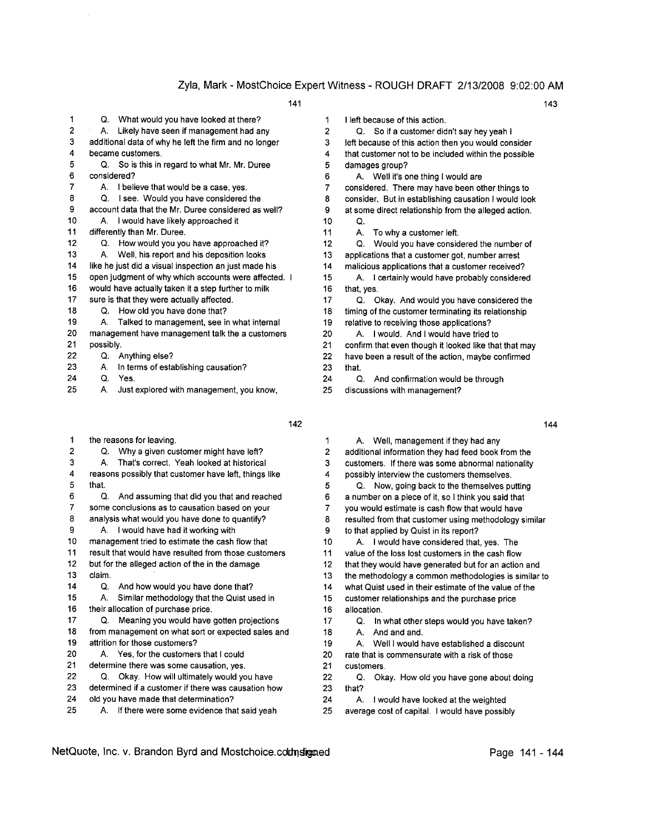|               |             |                                                       | . |
|---------------|-------------|-------------------------------------------------------|---|
| 1             | Q.          | What would you have looked at there?                  |   |
| 2             | А.          | Likely have seen if management had any                |   |
| 3             |             | additional data of why he left the firm and no longer |   |
| 4             |             | became customers.                                     |   |
| 5             | Q.          | So is this in regard to what Mr. Mr. Duree            |   |
| 6             | considered? |                                                       |   |
| 7             | A.          | I believe that would be a case, yes.                  |   |
| 8             | Ο.          | I see. Would you have considered the                  |   |
| 9             |             | account data that the Mr. Duree considered as well?   |   |
| 10            | А.          | I would have likely approached it                     |   |
| 11            |             | differently than Mr. Duree.                           |   |
| 12            | О.          | How would you you have approached it?                 |   |
| 13            | А.          | Well, his report and his deposition looks             |   |
| 14            |             | like he just did a visual inspection an just made his |   |
| 15            |             | open judgment of why which accounts were affected. I  |   |
| 16            |             | would have actually taken it a step further to milk   |   |
| 17            |             | sure is that they were actually affected.             |   |
| 18            | О.          | How old you have done that?                           |   |
| 19            | А.          | Talked to management, see in what internal            |   |
| 20            |             | management have management talk the a customers       |   |
| 21            | possibly.   |                                                       |   |
| 22            | Q.          | Anything else?                                        |   |
| 23            | А.          | In terms of establishing causation?                   |   |
| $\sim$ $\sim$ |             |                                                       |   |

- 24 Q. Yes.
- 25 A. Just explored with management, you know,
- 1 the reasons for leaving.
- 2 Q. Why a given customer might have left?
- 3 A. That's correct. Yeah looked at historical
- 4 reasons possibly that customer have left, things like 5 that.
- 6 Q. And assuming that did you that and reached
- 7 some conclusions as to causation based on your
- 8 analysis what would you have done to quantify?
- 9 A. I would have had it working with
- 10 management tried to estimate the cash flow that
- 11 result that would have resulted from those customers
- 12 but for the alleged action of the in the damage
- 13 claim.
- 14 Q. And how would you have done that?

15 A. Similar methodology that the Quist used in 16 their allocation of purchase price.

- 17 Q. Meaning you would have gotten projections
- 18 from management on what sort or expected sales and 19 attrition for those customers?
- 20 A. Yes, for the customers that I could
- 21 determine there was some causation, yes.
- 22 Q. Okay. How will ultimately would you have
- 23 determined if a customer if there was causation how
- 24 old you have made that determination?
- 25 A. If there were some evidence that said yeah
- 
- 1 I left because of this action.
- 2 Q. So if a customer didn't say hey yeah I
- 3 left because of this action then you would consider 4 that customer not to be included within the possible
- 5 damages group?
- 6 A. Well it's one thing I would are
- 7 considered. There may have been other things to 8 consider. But in establishing causation I would look 9 at some direct relationship from the alleged action.
- 10 Q.
- 11 A. To why a customer left.
- 12 Q. Would you have considered the number of 13 applications that a customer got, number arrest
- 14 malicious applications that a customer received? 15 A. I certainly would have probably considered
- 16 that, yes. 17 Q. Okay. And would you have considered the
- 18 timing of the customer terminating its relationship 19 relative to receiving those applications?
- 20 A. I would. And I would have tried to
- 21 confirm that even though it looked like that that may
- 22 have been a result of the action, maybe confirmed 23 that.
- 24 Q. And confirmation would be through
- 25 discussions with management?

- 
- 1 A. Well, management if they had any 2 additional information they had feed book from the 3 customers. If there was some abnormal nationality 4 possibly interview the customers themselves.
- 5 Q. Now, going back to the themselves pulling 6 a number on a piece of it, so I think you said that 7 you would estimate is cash flow that would have 8 resulted from that customer using methodology similar
- 9 to that applied by Quist in its report?
- 10 A. I would have considered that, yes. The
- 11 value of the loss lost customers in the cash flow
- 12 that they would have generated but for an action and
- 13 the methodology a common methodologies is similar to
- 14 what Quist used in their estimate of the value of the
- 15 customer relationships and the purchase price 16 allocation.
- 17 Q. In what other steps would you have taken? 18 A. And and and.
- 19 A. Weill would have established a discount 20 rate that is commensurate with a risk of those
- 21 customers.
- 22 Q. Okay. How old you have gone about doing 23 that?
- 24 A. I would have looked at the weighted
- 25 average cost of capital. I would have possibly

- 
- 
- $142$  144
- 
- 
-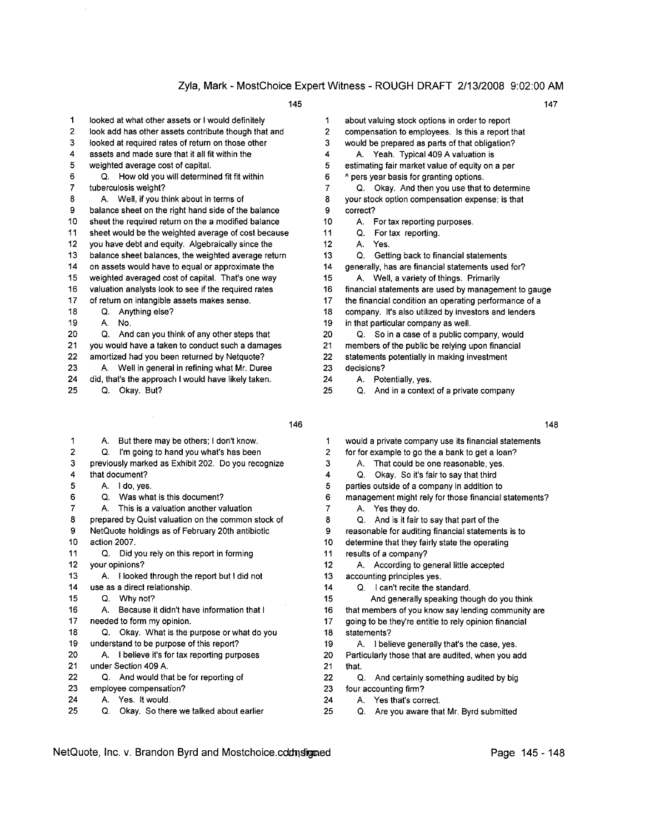- 1 looked at what other assets or I would definitely
- 2 look add has other assets contribute though that and
- 3 looked at required rates of return on those other
- 4 assets and made sure that it all fit within the
- 5 weighted average cost of capital.
- 6 Q. How old you will determined fit fit within
- 7 tuberculosis weight?
- 8 A. Well, if you think about in terms of
- 9 balance sheet on the right hand side of the balance
- 10 sheet the required return on the a modified balance
- 11 sheet would be the weighted average of cost because
- 12 you have debt and equity. Algebraically since the
- 13 balance sheet balances, the weighted average return
- 14 on assets would have to equal or approximate the
- 15 weighted averaged cost of capital. That's one way
- 16 valuation analysts look to see if the required rates
- 17 of return on intangible assets makes sense.
- 18 Q. Anything else?
- 19 A. No.
- 20 Q. And can you think of any other steps that
- 21 you would have a taken to conduct such a damages
- 22 amortized had you been returned by Netquote?
- 23 A. Well in general in refining what Mr. Duree
- 24 did, that's the approach I would have likely taken.
- 25 Q. Okay. But?

- 1 A. But there may be others; I don't know. 2 Q. I'm going to hand you what's has been 3 previously marked as Exhibit 202. Do you recognize 4 that document? 5 A. I do, yes. 6 Q. Was what is this document? 7 A. This is a valuation another valuation 8 prepared by Quist valuation on the common stock of 9 NetQuote holdings as of February 20th antibiotic 10 action 2007. 11 Q. Did you rely on this report in forming 12 your opinions? 13 A. I looked through the report but I did not 14 use as a direct relationship. 15 Q. Why not? 16 A. Because it didn't have information that I 17 needed to form my opinion. 18 Q. Okay. What is the purpose or what do you 19 understand to be purpose of this report? 20 A. I believe it's for tax reporting purposes 21 under Section 409 A. 22 Q. And would that be for reporting of
- 23 employee compensation? 24 A. Yes. It would.
- 25 Q. Okay. So there we talked about earlier
- 1 about valuing stock options in order to report 2 compensation to employees. Is this a report that 3 would be prepared as parts of that obligation? 4 A. Yeah. Typical 409 A valuation is 5 estimating fair market value of equity on a per 6 A pers year basis for granting options. 7 Q. Okay. And then you use that to determine 8 your stock option compensation expense; is that 9 correct? 10 A. For tax reporting purposes.
- 11 Q. For tax reporting.
- 12 A. Yes.
- 13 Q. Getting back to financial statements
- 14 generally, has are financial statements used for?
- 15 A. Well, a variety of things. Primarily
- 16 financial statements are used by management to gauge
- 17 the financial condition an operating performance of a
- 18 company. It's also utilized by investors and lenders
- 19 in that particular company as well.
- 20 Q. So in a case of a public company, would
- 21 members of the public be relying upon financial
- 22 statements potentially in making investment
- 23 decisions?
- 24 A. Potentially, yes.
- 25 Q. And in a context of a private company
- 
- 1 would a private company use its financial statements
- 2 for for example to go the a bank to get a loan?
- 3 A. That could be one reasonable, yes.
- 4 Q. Okay. So it's fair to say that third
- 5 parties outside of a company in addition to
- 6 management might rely for those financial statements?
- 7 A. Yes they do.
- 8 Q. And is it fair to say that part of the
- 9 reasonable for auditing financial statements is to
- 10 determine that they fairly state the operating
- 11 results of a company?
- 12 A. According to general little accepted
- 13 accounting principles yes.
- 14 Q. I can't recite the standard.
- 15 And generally speaking though do you think
- 16 that members of you know say lending community are
- 17 going to be they're entitle to rely opinion financial
- 18 statements? 19 A. I believe generally that's the case, yes.
- 20 Particularly those that are audited, when you add 21 that.
- 22 Q. And certainly something audited by big 23 four accounting firm?
- 24 A. Yes that's correct.
- 25 Q. Are you aware that Mr. Byrd submitted